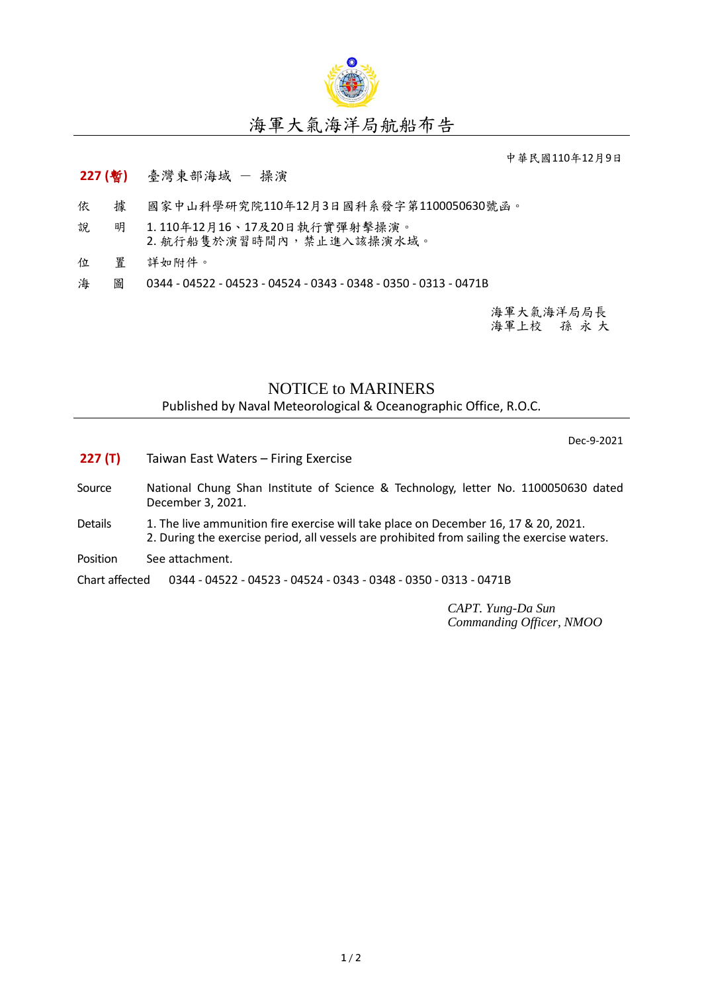

## 海軍大氣海洋局航船布告

中華民國110年12月9日

## **227 (**暫**)** 臺灣東部海域 - 操演

- 依 據 國家中山科學研究院110年12月3日國科系發字第1100050630號函。
- 說 明 1. 110年12月16、17及20日執行實彈射擊操演。 2. 航行船隻於演習時間內,禁止進入該操演水域。
- 位 置 詳如附件。
- 海 圖 0344 04522 04523 04524 0343 0348 0350 0313 0471B

海軍大氣海洋局局長 海軍上校 孫 永 大

## NOTICE to MARINERS

Published by Naval Meteorological & Oceanographic Office, R.O.C.

Dec-9-2021

- **227 (T)** Taiwan East Waters Firing Exercise
- Source National Chung Shan Institute of Science & Technology, letter No. 1100050630 dated December 3, 2021.
- Details 1. The live ammunition fire exercise will take place on December 16, 17 & 20, 2021. 2. During the exercise period, all vessels are prohibited from sailing the exercise waters.
- Position See attachment.

Chart affected 0344 - 04522 - 04523 - 04524 - 0343 - 0348 - 0350 - 0313 - 0471B

*CAPT. Yung-Da Sun Commanding Officer, NMOO*